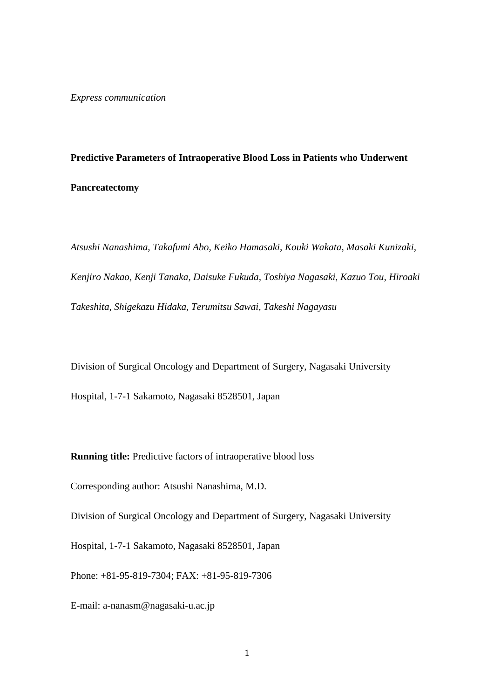## **Predictive Parameters of Intraoperative Blood Loss in Patients who Underwent Pancreatectomy**

*Atsushi Nanashima, Takafumi Abo, Keiko Hamasaki, Kouki Wakata, Masaki Kunizaki, Kenjiro Nakao, Kenji Tanaka, Daisuke Fukuda, Toshiya Nagasaki, Kazuo Tou, Hiroaki Takeshita, Shigekazu Hidaka, Terumitsu Sawai, Takeshi Nagayasu*

Division of Surgical Oncology and Department of Surgery, Nagasaki University

Hospital, 1-7-1 Sakamoto, Nagasaki 8528501, Japan

**Running title:** Predictive factors of intraoperative blood loss

Corresponding author: Atsushi Nanashima, M.D.

Division of Surgical Oncology and Department of Surgery, Nagasaki University

Hospital, 1-7-1 Sakamoto, Nagasaki 8528501, Japan

Phone: +81-95-819-7304; FAX: +81-95-819-7306

E-mail: a-nanasm@nagasaki-u.ac.jp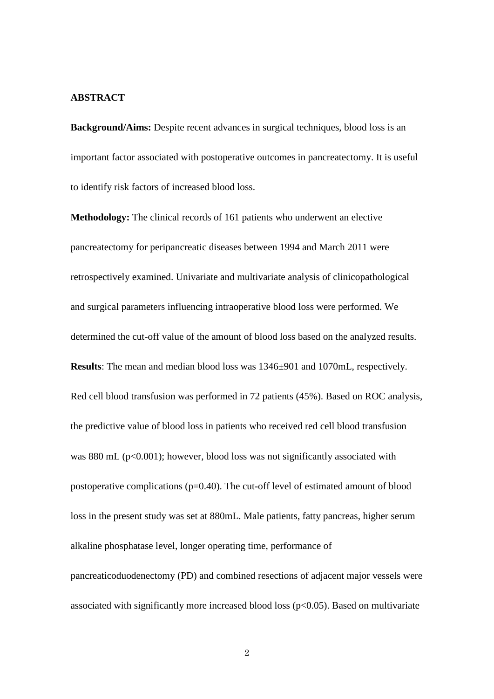#### **ABSTRACT**

**Background/Aims:** Despite recent advances in surgical techniques, blood loss is an important factor associated with postoperative outcomes in pancreatectomy. It is useful to identify risk factors of increased blood loss.

**Methodology:** The clinical records of 161 patients who underwent an elective pancreatectomy for peripancreatic diseases between 1994 and March 2011 were retrospectively examined. Univariate and multivariate analysis of clinicopathological and surgical parameters influencing intraoperative blood loss were performed. We determined the cut-off value of the amount of blood loss based on the analyzed results. **Results**: The mean and median blood loss was 1346±901 and 1070mL, respectively. Red cell blood transfusion was performed in 72 patients (45%). Based on ROC analysis, the predictive value of blood loss in patients who received red cell blood transfusion was 880 mL ( $p<0.001$ ); however, blood loss was not significantly associated with postoperative complications (p=0.40). The cut-off level of estimated amount of blood loss in the present study was set at 880mL. Male patients, fatty pancreas, higher serum alkaline phosphatase level, longer operating time, performance of pancreaticoduodenectomy (PD) and combined resections of adjacent major vessels were associated with significantly more increased blood loss (p<0.05). Based on multivariate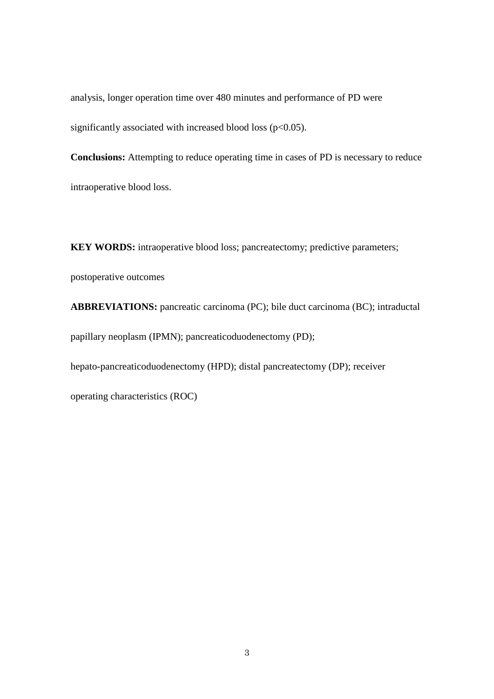analysis, longer operation time over 480 minutes and performance of PD were significantly associated with increased blood loss ( $p<0.05$ ).

**Conclusions:** Attempting to reduce operating time in cases of PD is necessary to reduce intraoperative blood loss.

**KEY WORDS:** intraoperative blood loss; pancreatectomy; predictive parameters; postoperative outcomes

**ABBREVIATIONS:** pancreatic carcinoma (PC); bile duct carcinoma (BC); intraductal papillary neoplasm (IPMN); pancreaticoduodenectomy (PD);

hepato-pancreaticoduodenectomy (HPD); distal pancreatectomy (DP); receiver

operating characteristics (ROC)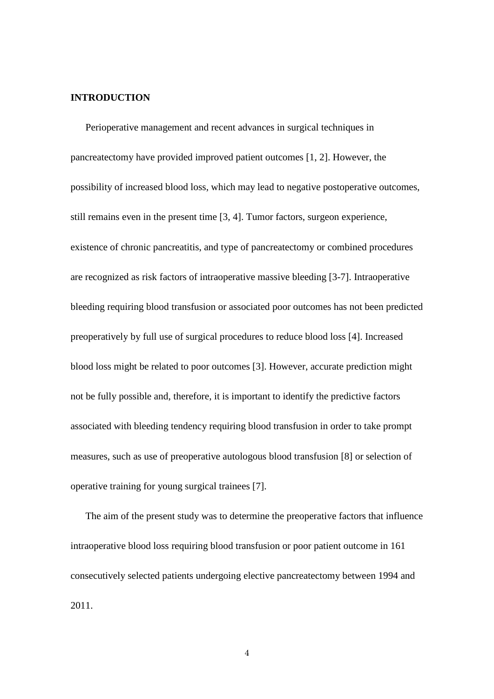#### **INTRODUCTION**

Perioperative management and recent advances in surgical techniques in pancreatectomy have provided improved patient outcomes [1, 2]. However, the possibility of increased blood loss, which may lead to negative postoperative outcomes, still remains even in the present time [3, 4]. Tumor factors, surgeon experience, existence of chronic pancreatitis, and type of pancreatectomy or combined procedures are recognized as risk factors of intraoperative massive bleeding [3-7]. Intraoperative bleeding requiring blood transfusion or associated poor outcomes has not been predicted preoperatively by full use of surgical procedures to reduce blood loss [4]. Increased blood loss might be related to poor outcomes [3]. However, accurate prediction might not be fully possible and, therefore, it is important to identify the predictive factors associated with bleeding tendency requiring blood transfusion in order to take prompt measures, such as use of preoperative autologous blood transfusion [8] or selection of operative training for young surgical trainees [7].

The aim of the present study was to determine the preoperative factors that influence intraoperative blood loss requiring blood transfusion or poor patient outcome in 161 consecutively selected patients undergoing elective pancreatectomy between 1994 and 2011.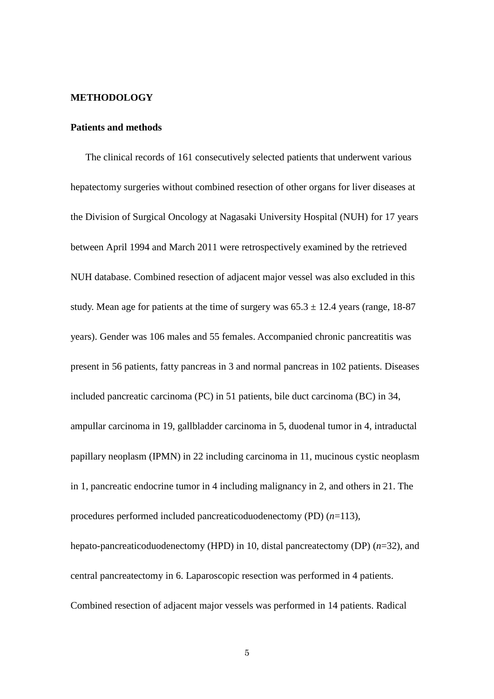#### **METHODOLOGY**

#### **Patients and methods**

The clinical records of 161 consecutively selected patients that underwent various hepatectomy surgeries without combined resection of other organs for liver diseases at the Division of Surgical Oncology at Nagasaki University Hospital (NUH) for 17 years between April 1994 and March 2011 were retrospectively examined by the retrieved NUH database. Combined resection of adjacent major vessel was also excluded in this study. Mean age for patients at the time of surgery was  $65.3 \pm 12.4$  years (range, 18-87 years). Gender was 106 males and 55 females. Accompanied chronic pancreatitis was present in 56 patients, fatty pancreas in 3 and normal pancreas in 102 patients. Diseases included pancreatic carcinoma (PC) in 51 patients, bile duct carcinoma (BC) in 34, ampullar carcinoma in 19, gallbladder carcinoma in 5, duodenal tumor in 4, intraductal papillary neoplasm (IPMN) in 22 including carcinoma in 11, mucinous cystic neoplasm in 1, pancreatic endocrine tumor in 4 including malignancy in 2, and others in 21. The procedures performed included pancreaticoduodenectomy (PD) (*n*=113), hepato-pancreaticoduodenectomy (HPD) in 10, distal pancreatectomy (DP) (*n*=32), and

central pancreatectomy in 6. Laparoscopic resection was performed in 4 patients. Combined resection of adjacent major vessels was performed in 14 patients. Radical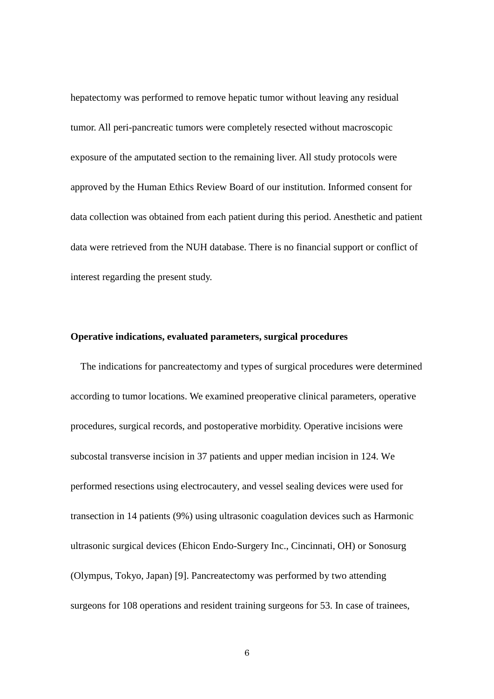hepatectomy was performed to remove hepatic tumor without leaving any residual tumor. All peri-pancreatic tumors were completely resected without macroscopic exposure of the amputated section to the remaining liver. All study protocols were approved by the Human Ethics Review Board of our institution. Informed consent for data collection was obtained from each patient during this period. Anesthetic and patient data were retrieved from the NUH database. There is no financial support or conflict of interest regarding the present study.

#### **Operative indications, evaluated parameters, surgical procedures**

The indications for pancreatectomy and types of surgical procedures were determined according to tumor locations. We examined preoperative clinical parameters, operative procedures, surgical records, and postoperative morbidity. Operative incisions were subcostal transverse incision in 37 patients and upper median incision in 124. We performed resections using electrocautery, and vessel sealing devices were used for transection in 14 patients (9%) using ultrasonic coagulation devices such as Harmonic ultrasonic surgical devices (Ehicon Endo-Surgery Inc., Cincinnati, OH) or Sonosurg (Olympus, Tokyo, Japan) [9]. Pancreatectomy was performed by two attending surgeons for 108 operations and resident training surgeons for 53. In case of trainees,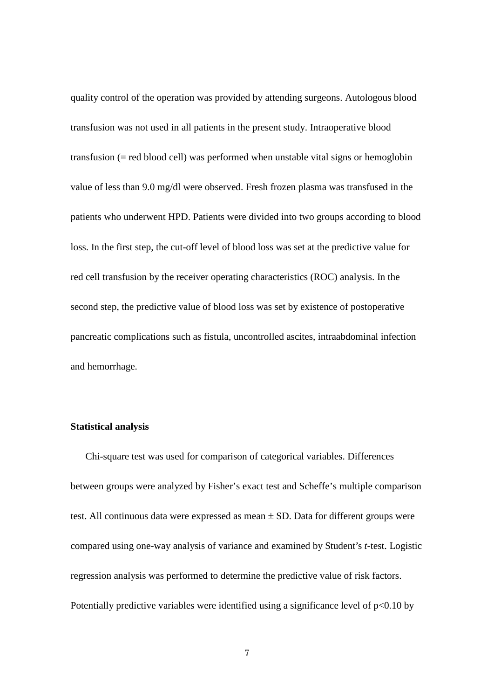quality control of the operation was provided by attending surgeons. Autologous blood transfusion was not used in all patients in the present study. Intraoperative blood transfusion (= red blood cell) was performed when unstable vital signs or hemoglobin value of less than 9.0 mg/dl were observed. Fresh frozen plasma was transfused in the patients who underwent HPD. Patients were divided into two groups according to blood loss. In the first step, the cut-off level of blood loss was set at the predictive value for red cell transfusion by the receiver operating characteristics (ROC) analysis. In the second step, the predictive value of blood loss was set by existence of postoperative pancreatic complications such as fistula, uncontrolled ascites, intraabdominal infection and hemorrhage.

#### **Statistical analysis**

Chi-square test was used for comparison of categorical variables. Differences between groups were analyzed by Fisher's exact test and Scheffe's multiple comparison test. All continuous data were expressed as mean  $\pm$  SD. Data for different groups were compared using one-way analysis of variance and examined by Student's *t*-test. Logistic regression analysis was performed to determine the predictive value of risk factors. Potentially predictive variables were identified using a significance level of  $p<0.10$  by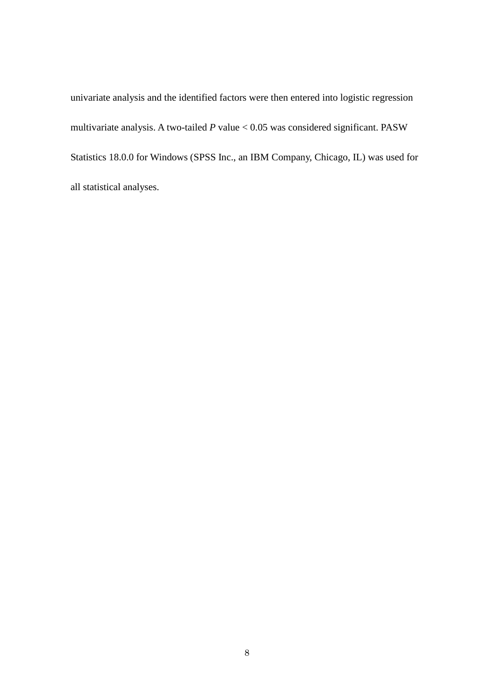univariate analysis and the identified factors were then entered into logistic regression multivariate analysis. A two-tailed *P* value < 0.05 was considered significant. PASW Statistics 18.0.0 for Windows (SPSS Inc., an IBM Company, Chicago, IL) was used for all statistical analyses.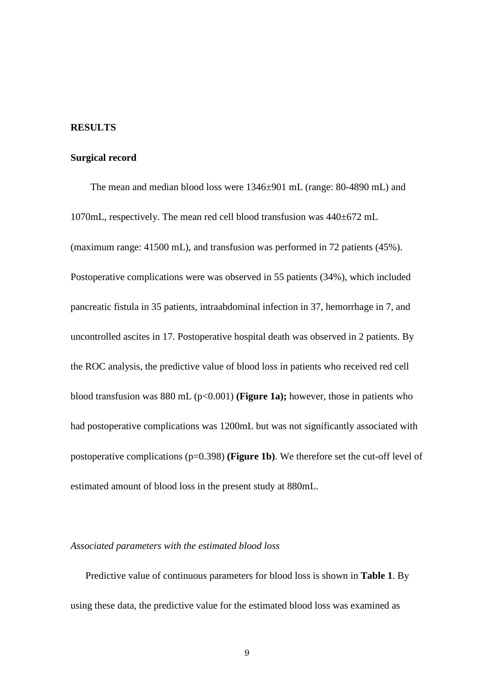#### **RESULTS**

#### **Surgical record**

The mean and median blood loss were 1346±901 mL (range: 80-4890 mL) and 1070mL, respectively. The mean red cell blood transfusion was 440±672 mL (maximum range: 41500 mL), and transfusion was performed in 72 patients (45%). Postoperative complications were was observed in 55 patients (34%), which included pancreatic fistula in 35 patients, intraabdominal infection in 37, hemorrhage in 7, and uncontrolled ascites in 17. Postoperative hospital death was observed in 2 patients. By the ROC analysis, the predictive value of blood loss in patients who received red cell blood transfusion was 880 mL (p<0.001) **(Figure 1a);** however, those in patients who had postoperative complications was 1200mL but was not significantly associated with postoperative complications (p=0.398) **(Figure 1b)**. We therefore set the cut-off level of estimated amount of blood loss in the present study at 880mL.

#### *Associated parameters with the estimated blood loss*

Predictive value of continuous parameters for blood loss is shown in **Table 1**. By using these data, the predictive value for the estimated blood loss was examined as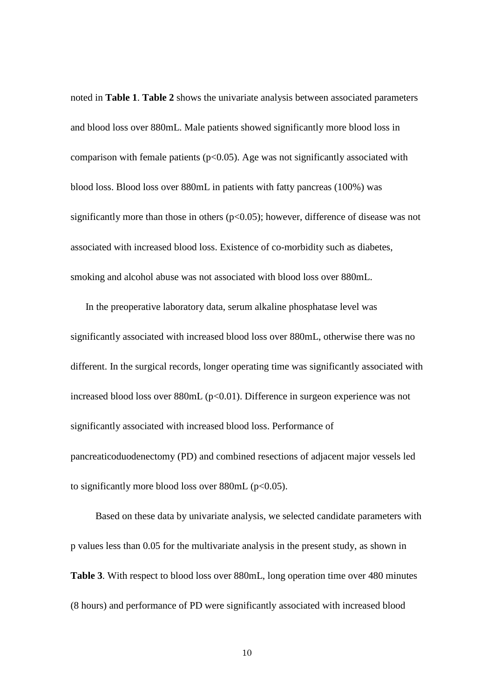noted in **Table 1**. **Table 2** shows the univariate analysis between associated parameters and blood loss over 880mL. Male patients showed significantly more blood loss in comparison with female patients ( $p<0.05$ ). Age was not significantly associated with blood loss. Blood loss over 880mL in patients with fatty pancreas (100%) was significantly more than those in others  $(p<0.05)$ ; however, difference of disease was not associated with increased blood loss. Existence of co-morbidity such as diabetes, smoking and alcohol abuse was not associated with blood loss over 880mL.

 In the preoperative laboratory data, serum alkaline phosphatase level was significantly associated with increased blood loss over 880mL, otherwise there was no different. In the surgical records, longer operating time was significantly associated with increased blood loss over  $880mL (p<0.01)$ . Difference in surgeon experience was not significantly associated with increased blood loss. Performance of pancreaticoduodenectomy (PD) and combined resections of adjacent major vessels led to significantly more blood loss over  $880mL$  ( $p<0.05$ ).

 Based on these data by univariate analysis, we selected candidate parameters with p values less than 0.05 for the multivariate analysis in the present study, as shown in **Table 3**. With respect to blood loss over 880mL, long operation time over 480 minutes (8 hours) and performance of PD were significantly associated with increased blood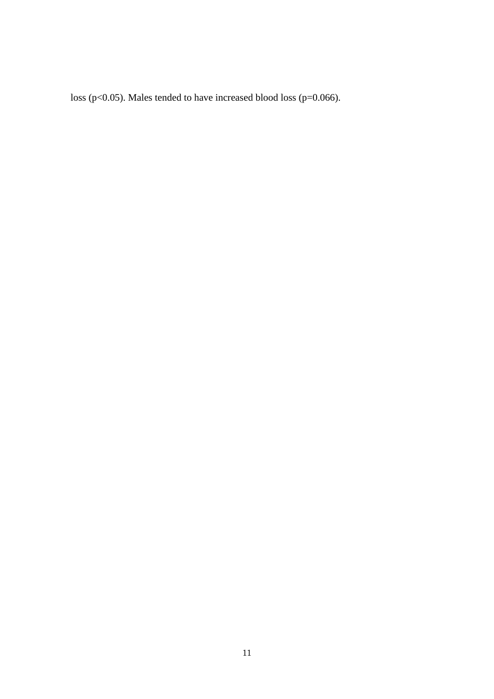loss (p<0.05). Males tended to have increased blood loss (p=0.066).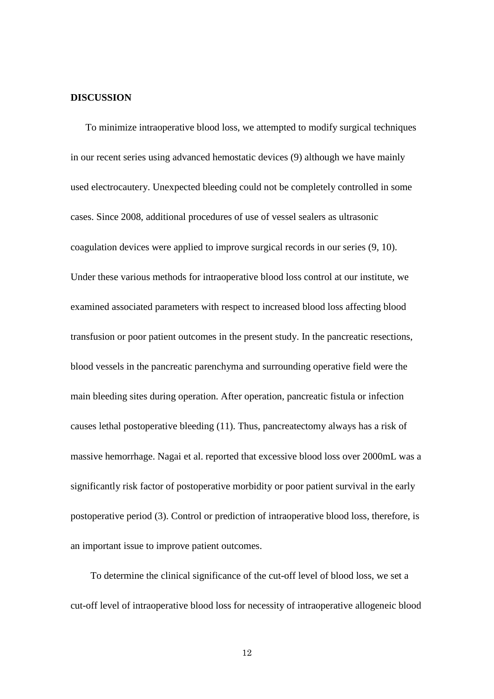#### **DISCUSSION**

 To minimize intraoperative blood loss, we attempted to modify surgical techniques in our recent series using advanced hemostatic devices (9) although we have mainly used electrocautery. Unexpected bleeding could not be completely controlled in some cases. Since 2008, additional procedures of use of vessel sealers as ultrasonic coagulation devices were applied to improve surgical records in our series (9, 10). Under these various methods for intraoperative blood loss control at our institute, we examined associated parameters with respect to increased blood loss affecting blood transfusion or poor patient outcomes in the present study. In the pancreatic resections, blood vessels in the pancreatic parenchyma and surrounding operative field were the main bleeding sites during operation. After operation, pancreatic fistula or infection causes lethal postoperative bleeding (11). Thus, pancreatectomy always has a risk of massive hemorrhage. Nagai et al. reported that excessive blood loss over 2000mL was a significantly risk factor of postoperative morbidity or poor patient survival in the early postoperative period (3). Control or prediction of intraoperative blood loss, therefore, is an important issue to improve patient outcomes.

 To determine the clinical significance of the cut-off level of blood loss, we set a cut-off level of intraoperative blood loss for necessity of intraoperative allogeneic blood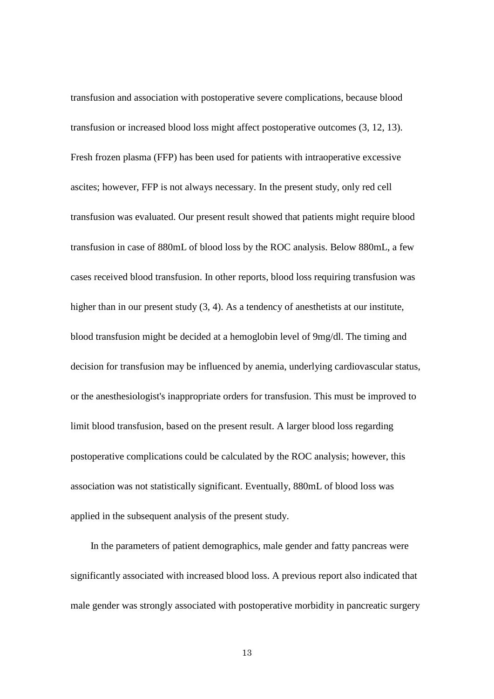transfusion and association with postoperative severe complications, because blood transfusion or increased blood loss might affect postoperative outcomes (3, 12, 13). Fresh frozen plasma (FFP) has been used for patients with intraoperative excessive ascites; however, FFP is not always necessary. In the present study, only red cell transfusion was evaluated. Our present result showed that patients might require blood transfusion in case of 880mL of blood loss by the ROC analysis. Below 880mL, a few cases received blood transfusion. In other reports, blood loss requiring transfusion was higher than in our present study  $(3, 4)$ . As a tendency of anesthetists at our institute, blood transfusion might be decided at a hemoglobin level of 9mg/dl. The timing and decision for transfusion may be influenced by anemia, underlying cardiovascular status, or the anesthesiologist's inappropriate orders for transfusion. This must be improved to limit blood transfusion, based on the present result. A larger blood loss regarding postoperative complications could be calculated by the ROC analysis; however, this association was not statistically significant. Eventually, 880mL of blood loss was applied in the subsequent analysis of the present study.

 In the parameters of patient demographics, male gender and fatty pancreas were significantly associated with increased blood loss. A previous report also indicated that male gender was strongly associated with postoperative morbidity in pancreatic surgery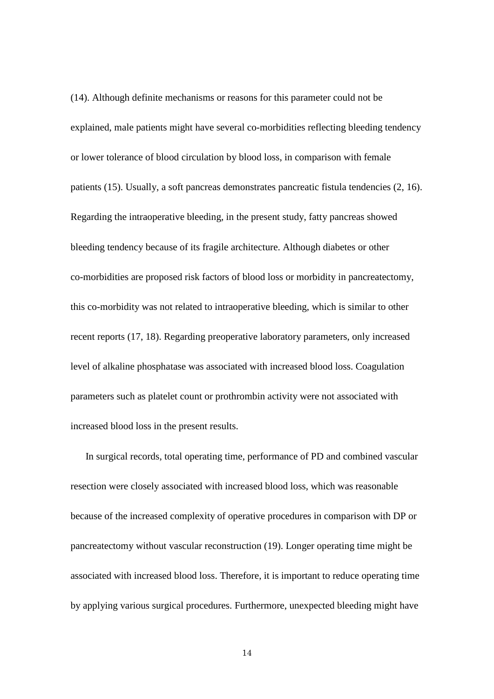(14). Although definite mechanisms or reasons for this parameter could not be explained, male patients might have several co-morbidities reflecting bleeding tendency or lower tolerance of blood circulation by blood loss, in comparison with female patients (15). Usually, a soft pancreas demonstrates pancreatic fistula tendencies (2, 16). Regarding the intraoperative bleeding, in the present study, fatty pancreas showed bleeding tendency because of its fragile architecture. Although diabetes or other co-morbidities are proposed risk factors of blood loss or morbidity in pancreatectomy, this co-morbidity was not related to intraoperative bleeding, which is similar to other recent reports (17, 18). Regarding preoperative laboratory parameters, only increased level of alkaline phosphatase was associated with increased blood loss. Coagulation parameters such as platelet count or prothrombin activity were not associated with increased blood loss in the present results.

 In surgical records, total operating time, performance of PD and combined vascular resection were closely associated with increased blood loss, which was reasonable because of the increased complexity of operative procedures in comparison with DP or pancreatectomy without vascular reconstruction (19). Longer operating time might be associated with increased blood loss. Therefore, it is important to reduce operating time by applying various surgical procedures. Furthermore, unexpected bleeding might have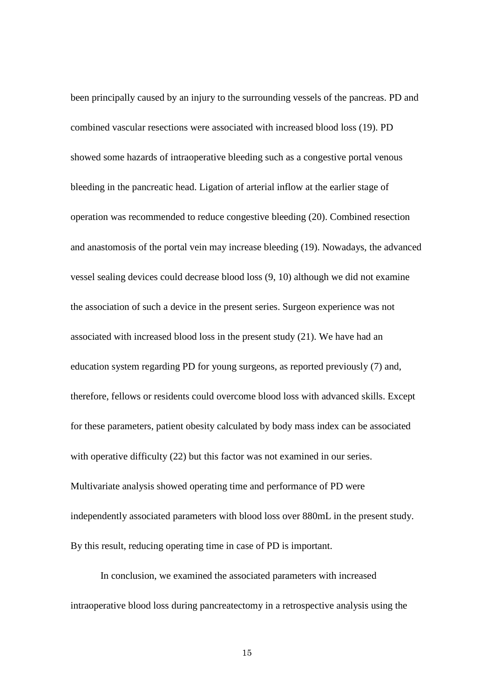been principally caused by an injury to the surrounding vessels of the pancreas. PD and combined vascular resections were associated with increased blood loss (19). PD showed some hazards of intraoperative bleeding such as a congestive portal venous bleeding in the pancreatic head. Ligation of arterial inflow at the earlier stage of operation was recommended to reduce congestive bleeding (20). Combined resection and anastomosis of the portal vein may increase bleeding (19). Nowadays, the advanced vessel sealing devices could decrease blood loss (9, 10) although we did not examine the association of such a device in the present series. Surgeon experience was not associated with increased blood loss in the present study (21). We have had an education system regarding PD for young surgeons, as reported previously (7) and, therefore, fellows or residents could overcome blood loss with advanced skills. Except for these parameters, patient obesity calculated by body mass index can be associated with operative difficulty (22) but this factor was not examined in our series. Multivariate analysis showed operating time and performance of PD were independently associated parameters with blood loss over 880mL in the present study. By this result, reducing operating time in case of PD is important.

 In conclusion, we examined the associated parameters with increased intraoperative blood loss during pancreatectomy in a retrospective analysis using the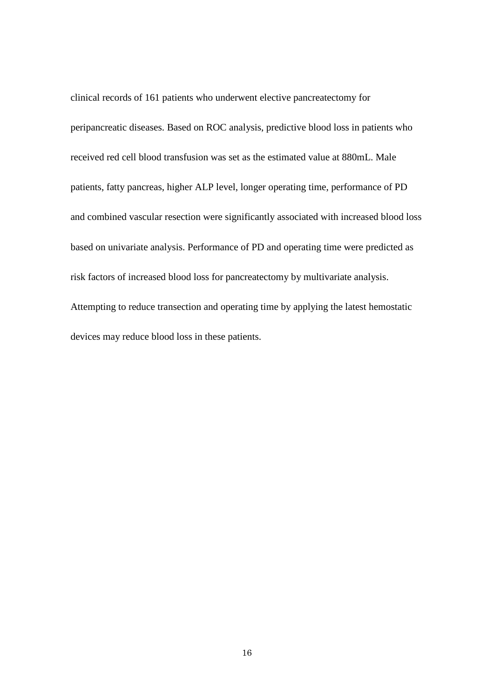clinical records of 161 patients who underwent elective pancreatectomy for peripancreatic diseases. Based on ROC analysis, predictive blood loss in patients who received red cell blood transfusion was set as the estimated value at 880mL. Male patients, fatty pancreas, higher ALP level, longer operating time, performance of PD and combined vascular resection were significantly associated with increased blood loss based on univariate analysis. Performance of PD and operating time were predicted as risk factors of increased blood loss for pancreatectomy by multivariate analysis. Attempting to reduce transection and operating time by applying the latest hemostatic devices may reduce blood loss in these patients.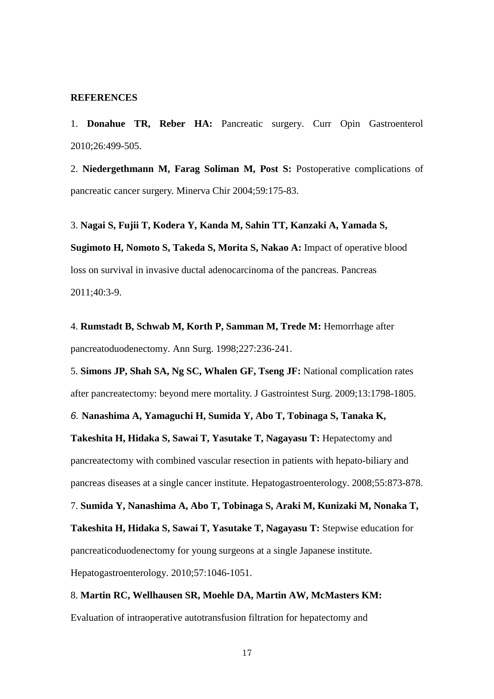#### **REFERENCES**

1. **[Donahue TR,](http://www.ncbi.nlm.nih.gov/pubmed?term=%22Donahue%20TR%22%5BAuthor%5D) [Reber HA:](http://www.ncbi.nlm.nih.gov/pubmed?term=%22Reber%20HA%22%5BAuthor%5D)** Pancreatic surgery. [Curr Opin Gastroenterol](javascript:AL_get(this,%20) 2010;26:499-505.

2. **[Niedergethmann M,](http://www.ncbi.nlm.nih.gov/pubmed?term=%22Niedergethmann%20M%22%5BAuthor%5D) [Farag Soliman M,](http://www.ncbi.nlm.nih.gov/pubmed?term=%22Farag%20Soliman%20M%22%5BAuthor%5D) [Post S:](http://www.ncbi.nlm.nih.gov/pubmed?term=%22Post%20S%22%5BAuthor%5D)** Postoperative complications of pancreatic cancer surgery. [Minerva Chir](javascript:AL_get(this,%20) 2004;59:175-83.

3. **[Nagai S,](http://preview.ncbi.nlm.nih.gov/pubmed?term=%22Nagai%20S%22%5BAuthor%5D) [Fujii T,](http://preview.ncbi.nlm.nih.gov/pubmed?term=%22Fujii%20T%22%5BAuthor%5D) [Kodera Y,](http://preview.ncbi.nlm.nih.gov/pubmed?term=%22Kodera%20Y%22%5BAuthor%5D) [Kanda M,](http://preview.ncbi.nlm.nih.gov/pubmed?term=%22Kanda%20M%22%5BAuthor%5D) [Sahin TT,](http://preview.ncbi.nlm.nih.gov/pubmed?term=%22Sahin%20TT%22%5BAuthor%5D) [Kanzaki A,](http://preview.ncbi.nlm.nih.gov/pubmed?term=%22Kanzaki%20A%22%5BAuthor%5D) [Yamada S,](http://preview.ncbi.nlm.nih.gov/pubmed?term=%22Yamada%20S%22%5BAuthor%5D) [Sugimoto H,](http://preview.ncbi.nlm.nih.gov/pubmed?term=%22Sugimoto%20H%22%5BAuthor%5D) [Nomoto S,](http://preview.ncbi.nlm.nih.gov/pubmed?term=%22Nomoto%20S%22%5BAuthor%5D) [Takeda S,](http://preview.ncbi.nlm.nih.gov/pubmed?term=%22Takeda%20S%22%5BAuthor%5D) [Morita S,](http://preview.ncbi.nlm.nih.gov/pubmed?term=%22Morita%20S%22%5BAuthor%5D) [Nakao A:](http://preview.ncbi.nlm.nih.gov/pubmed?term=%22Nakao%20A%22%5BAuthor%5D)** Impact of operative blood loss on survival in invasive ductal adenocarcinoma of the pancreas. [Pancreas](javascript:AL_get(this,%20) 2011;40:3-9.

4. **[Rumstadt B,](http://preview.ncbi.nlm.nih.gov/pubmed?term=%22Rumstadt%20B%22%5BAuthor%5D) [Schwab M,](http://preview.ncbi.nlm.nih.gov/pubmed?term=%22Schwab%20M%22%5BAuthor%5D) [Korth P,](http://preview.ncbi.nlm.nih.gov/pubmed?term=%22Korth%20P%22%5BAuthor%5D) [Samman M,](http://preview.ncbi.nlm.nih.gov/pubmed?term=%22Samman%20M%22%5BAuthor%5D) [Trede M:](http://preview.ncbi.nlm.nih.gov/pubmed?term=%22Trede%20M%22%5BAuthor%5D)** Hemorrhage after pancreatoduodenectomy. [Ann Surg.](javascript:AL_get(this,%20) 1998;227:236-241.

5. **[Simons JP,](http://www.ncbi.nlm.nih.gov/pubmed?term=%22Simons%20JP%22%5BAuthor%5D) [Shah SA,](http://www.ncbi.nlm.nih.gov/pubmed?term=%22Shah%20SA%22%5BAuthor%5D) [Ng SC,](http://www.ncbi.nlm.nih.gov/pubmed?term=%22Ng%20SC%22%5BAuthor%5D) [Whalen GF,](http://www.ncbi.nlm.nih.gov/pubmed?term=%22Whalen%20GF%22%5BAuthor%5D) [Tseng JF:](http://www.ncbi.nlm.nih.gov/pubmed?term=%22Tseng%20JF%22%5BAuthor%5D)** National complication rates after pancreatectomy: beyond mere mortality. [J Gastrointest Surg.](javascript:AL_get(this,%20) 2009;13:1798-1805.

*6.* **Nanashima A, Yamaguchi H, Sumida Y, Abo T, Tobinaga S, Tanaka K,** 

**Takeshita H, Hidaka S, Sawai T, Yasutake T, Nagayasu T:** Hepatectomy and pancreatectomy with combined vascular resection in patients with hepato-biliary and pancreas diseases at a single cancer institute. Hepatogastroenterology. 2008;55:873-878.

7. **Sumida Y, Nanashima A, Abo T, Tobinaga S, Araki M, Kunizaki M, Nonaka T, Takeshita H, Hidaka S, Sawai T, Yasutake T, Nagayasu T:** Stepwise education for pancreaticoduodenectomy for young surgeons at a single Japanese institute. Hepatogastroenterology. 2010;57:1046-1051.

#### 8. **[Martin RC,](http://www.ncbi.nlm.nih.gov/pubmed?term=%22Martin%20RC%22%5BAuthor%5D) [Wellhausen SR,](http://www.ncbi.nlm.nih.gov/pubmed?term=%22Wellhausen%20SR%22%5BAuthor%5D) [Moehle DA,](http://www.ncbi.nlm.nih.gov/pubmed?term=%22Moehle%20DA%22%5BAuthor%5D) [Martin AW,](http://www.ncbi.nlm.nih.gov/pubmed?term=%22Martin%20AW%22%5BAuthor%5D) [McMasters KM:](http://www.ncbi.nlm.nih.gov/pubmed?term=%22McMasters%20KM%22%5BAuthor%5D)**

Evaluation of intraoperative autotransfusion filtration for hepatectomy and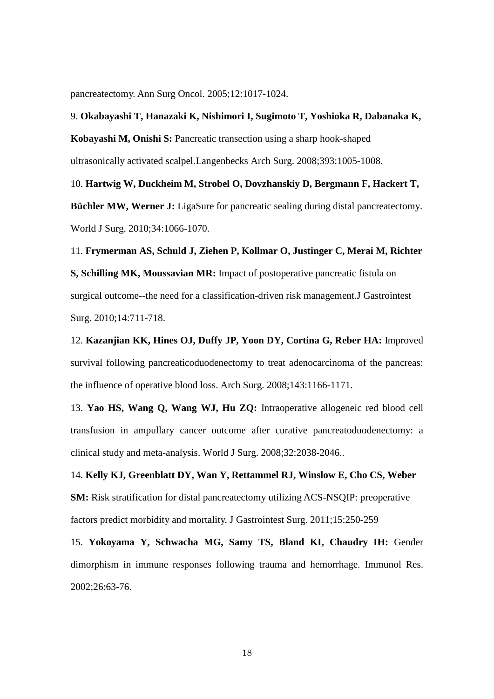pancreatectomy[. Ann Surg Oncol.](javascript:AL_get(this,%20) 2005;12:1017-1024.

#### 9. **Okabayashi T, Hanazaki K, Nishimori I, Sugimoto T, Yoshioka R, Dabanaka K,**

**Kobayashi M, Onishi S:** Pancreatic transection using a sharp hook-shaped

ultrasonically activated scalpel.Langenbecks Arch Surg. 2008;393:1005-1008.

10. **Hartwig W, Duckheim M, Strobel O, Dovzhanskiy D, Bergmann F, Hackert T, Büchler MW, Werner J:** LigaSure for pancreatic sealing during distal pancreatectomy. World J Surg. 2010;34:1066-1070.

11. **Frymerman AS, Schuld J, Ziehen P, Kollmar O, Justinger C, Merai M, Richter S, Schilling MK, Moussavian MR:** Impact of postoperative pancreatic fistula on surgical outcome--the need for a classification-driven risk management.J Gastrointest Surg. 2010;14:711-718.

12. **[Kazanjian KK,](http://www.ncbi.nlm.nih.gov/pubmed?term=%22Kazanjian%20KK%22%5BAuthor%5D) [Hines OJ,](http://www.ncbi.nlm.nih.gov/pubmed?term=%22Hines%20OJ%22%5BAuthor%5D) [Duffy JP,](http://www.ncbi.nlm.nih.gov/pubmed?term=%22Duffy%20JP%22%5BAuthor%5D) [Yoon DY,](http://www.ncbi.nlm.nih.gov/pubmed?term=%22Yoon%20DY%22%5BAuthor%5D) [Cortina G,](http://www.ncbi.nlm.nih.gov/pubmed?term=%22Cortina%20G%22%5BAuthor%5D) [Reber HA:](http://www.ncbi.nlm.nih.gov/pubmed?term=%22Reber%20HA%22%5BAuthor%5D)** Improved survival following pancreaticoduodenectomy to treat adenocarcinoma of the pancreas: the influence of operative blood loss. [Arch Surg.](javascript:AL_get(this,%20) 2008;143:1166-1171.

13. **[Yao HS,](http://www.ncbi.nlm.nih.gov/pubmed?term=%22Yao%20HS%22%5BAuthor%5D) [Wang Q,](http://www.ncbi.nlm.nih.gov/pubmed?term=%22Wang%20Q%22%5BAuthor%5D) [Wang WJ,](http://www.ncbi.nlm.nih.gov/pubmed?term=%22Wang%20WJ%22%5BAuthor%5D) [Hu ZQ:](http://www.ncbi.nlm.nih.gov/pubmed?term=%22Hu%20ZQ%22%5BAuthor%5D)** Intraoperative allogeneic red blood cell transfusion in ampullary cancer outcome after curative pancreatoduodenectomy: a clinical study and meta-analysis. [World J Surg.](javascript:AL_get(this,%20) 2008;32:2038-2046..

14. **[Kelly KJ,](http://www.ncbi.nlm.nih.gov/pubmed?term=%22Kelly%20KJ%22%5BAuthor%5D) [Greenblatt DY,](http://www.ncbi.nlm.nih.gov/pubmed?term=%22Greenblatt%20DY%22%5BAuthor%5D) [Wan Y,](http://www.ncbi.nlm.nih.gov/pubmed?term=%22Wan%20Y%22%5BAuthor%5D) [Rettammel RJ,](http://www.ncbi.nlm.nih.gov/pubmed?term=%22Rettammel%20RJ%22%5BAuthor%5D) [Winslow E,](http://www.ncbi.nlm.nih.gov/pubmed?term=%22Winslow%20E%22%5BAuthor%5D) [Cho CS,](http://www.ncbi.nlm.nih.gov/pubmed?term=%22Cho%20CS%22%5BAuthor%5D) [Weber](http://www.ncbi.nlm.nih.gov/pubmed?term=%22Weber%20SM%22%5BAuthor%5D)  [SM:](http://www.ncbi.nlm.nih.gov/pubmed?term=%22Weber%20SM%22%5BAuthor%5D)** Risk stratification for distal pancreatectomy utilizing ACS-NSQIP: preoperative factors predict morbidity and mortality. [J Gastrointest Surg.](javascript:AL_get(this,%20) 2011;15:250-259

15. **[Yokoyama Y,](http://www.ncbi.nlm.nih.gov/pubmed?term=%22Yokoyama%20Y%22%5BAuthor%5D) [Schwacha MG,](http://www.ncbi.nlm.nih.gov/pubmed?term=%22Schwacha%20MG%22%5BAuthor%5D) [Samy TS,](http://www.ncbi.nlm.nih.gov/pubmed?term=%22Samy%20TS%22%5BAuthor%5D) [Bland KI,](http://www.ncbi.nlm.nih.gov/pubmed?term=%22Bland%20KI%22%5BAuthor%5D) [Chaudry IH:](http://www.ncbi.nlm.nih.gov/pubmed?term=%22Chaudry%20IH%22%5BAuthor%5D)** Gender dimorphism in immune responses following trauma and hemorrhage. [Immunol Res.](javascript:AL_get(this,%20) 2002;26:63-76.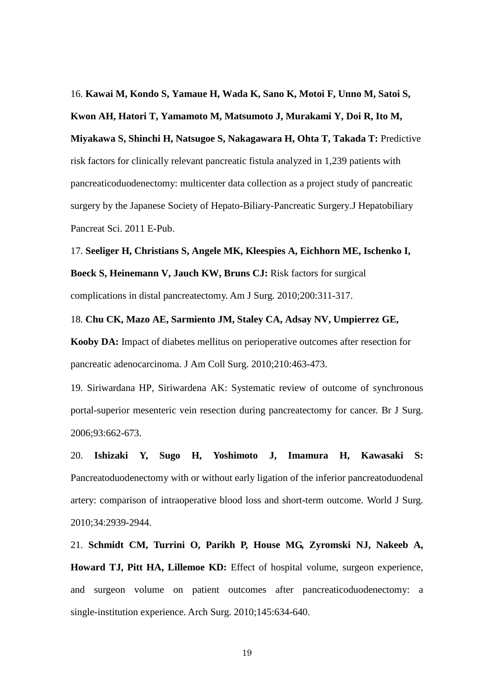16. **Kawai M, Kondo S, Yamaue H, Wada K, Sano K, Motoi F, Unno M, Satoi S, Kwon AH, Hatori T, Yamamoto M, Matsumoto J, Murakami Y, Doi R, Ito M, Miyakawa S, Shinchi H, Natsugoe S, Nakagawara H, Ohta T, Takada T:** Predictive risk factors for clinically relevant pancreatic fistula analyzed in 1,239 patients with pancreaticoduodenectomy: multicenter data collection as a project study of pancreatic surgery by the Japanese Society of Hepato-Biliary-Pancreatic Surgery.J Hepatobiliary Pancreat Sci. 2011 E-Pub.

17. **[Seeliger H,](http://www.ncbi.nlm.nih.gov/pubmed?term=%22Seeliger%20H%22%5BAuthor%5D) [Christians S,](http://www.ncbi.nlm.nih.gov/pubmed?term=%22Christians%20S%22%5BAuthor%5D) [Angele MK,](http://www.ncbi.nlm.nih.gov/pubmed?term=%22Angele%20MK%22%5BAuthor%5D) [Kleespies A,](http://www.ncbi.nlm.nih.gov/pubmed?term=%22Kleespies%20A%22%5BAuthor%5D) [Eichhorn ME,](http://www.ncbi.nlm.nih.gov/pubmed?term=%22Eichhorn%20ME%22%5BAuthor%5D) [Ischenko I,](http://www.ncbi.nlm.nih.gov/pubmed?term=%22Ischenko%20I%22%5BAuthor%5D) [Boeck S,](http://www.ncbi.nlm.nih.gov/pubmed?term=%22Boeck%20S%22%5BAuthor%5D) [Heinemann V,](http://www.ncbi.nlm.nih.gov/pubmed?term=%22Heinemann%20V%22%5BAuthor%5D) [Jauch KW,](http://www.ncbi.nlm.nih.gov/pubmed?term=%22Jauch%20KW%22%5BAuthor%5D) [Bruns CJ:](http://www.ncbi.nlm.nih.gov/pubmed?term=%22Bruns%20CJ%22%5BAuthor%5D)** Risk factors for surgical complications in distal pancreatectomy. [Am J Surg.](javascript:AL_get(this,%20) 2010;200:311-317.

**Kooby DA:** Impact of diabetes mellitus on perioperative outcomes after resection for pancreatic adenocarcinoma. J Am Coll Surg. 2010;210:463-473.

18. **Chu CK, Mazo AE, Sarmiento JM, Staley CA, Adsay NV, Umpierrez GE,** 

19. [Siriwardana HP,](http://www.ncbi.nlm.nih.gov/pubmed?term=%22Siriwardana%20HP%22%5BAuthor%5D) [Siriwardena AK:](http://www.ncbi.nlm.nih.gov/pubmed?term=%22Siriwardena%20AK%22%5BAuthor%5D) Systematic review of outcome of synchronous portal-superior mesenteric vein resection during pancreatectomy for cancer. [Br J Surg.](javascript:AL_get(this,%20) 2006;93:662-673.

20. **Ishizaki Y, Sugo H, Yoshimoto J, Imamura H, Kawasaki S:** Pancreatoduodenectomy with or without early ligation of the inferior pancreatoduodenal artery: comparison of intraoperative blood loss and short-term outcome. World J Surg. 2010;34:2939-2944.

21. **Schmidt CM, Turrini O, Parikh P, House MG, Zyromski NJ, Nakeeb A, Howard TJ, Pitt HA, Lillemoe KD:** Effect of hospital volume, surgeon experience, and surgeon volume on patient outcomes after pancreaticoduodenectomy: a single-institution experience. Arch Surg. 2010;145:634-640.

19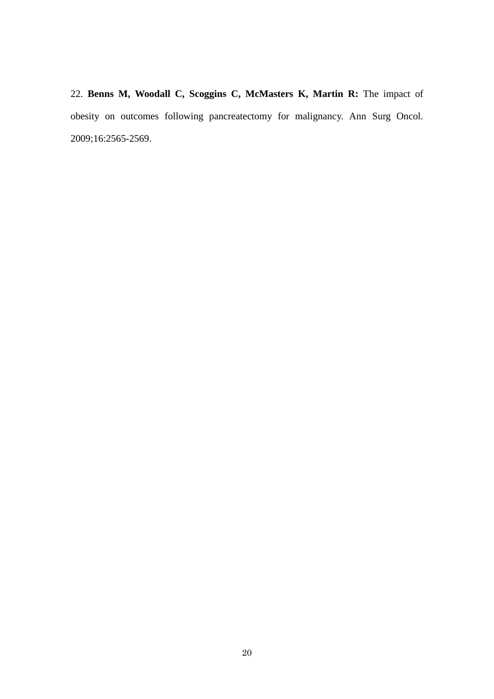22. **[Benns M,](http://www.ncbi.nlm.nih.gov/pubmed?term=%22Benns%20M%22%5BAuthor%5D) [Woodall C,](http://www.ncbi.nlm.nih.gov/pubmed?term=%22Woodall%20C%22%5BAuthor%5D) [Scoggins C,](http://www.ncbi.nlm.nih.gov/pubmed?term=%22Scoggins%20C%22%5BAuthor%5D) [McMasters K,](http://www.ncbi.nlm.nih.gov/pubmed?term=%22McMasters%20K%22%5BAuthor%5D) [Martin R:](http://www.ncbi.nlm.nih.gov/pubmed?term=%22Martin%20R%22%5BAuthor%5D)** The impact of obesity on outcomes following pancreatectomy for malignancy. [Ann Surg Oncol.](javascript:AL_get(this,%20) 2009;16:2565-2569.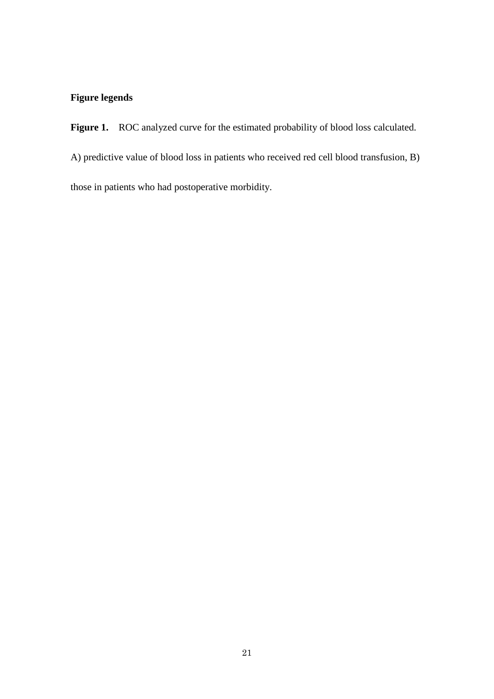### **Figure legends**

Figure 1. ROC analyzed curve for the estimated probability of blood loss calculated. A) predictive value of blood loss in patients who received red cell blood transfusion, B) those in patients who had postoperative morbidity.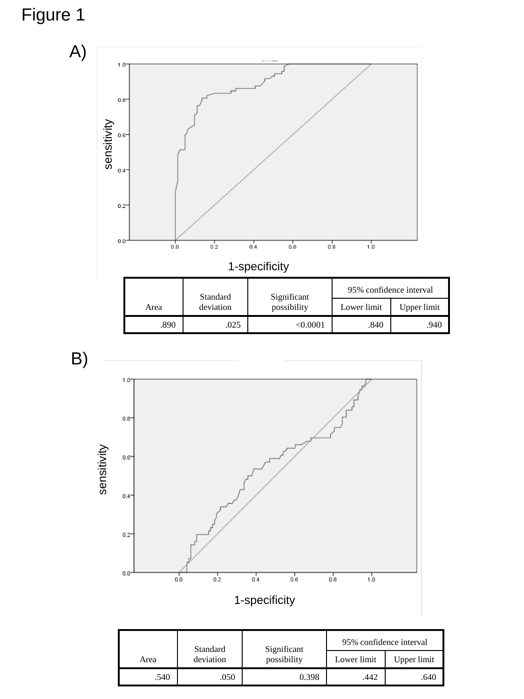# Figure 1





|      | Standard  | Significant | 95% confidence interval |             |
|------|-----------|-------------|-------------------------|-------------|
| Area | deviation | possibility | Lower limit             | Upper limit |
| .540 | 050       | 0.398       | 442                     | .640        |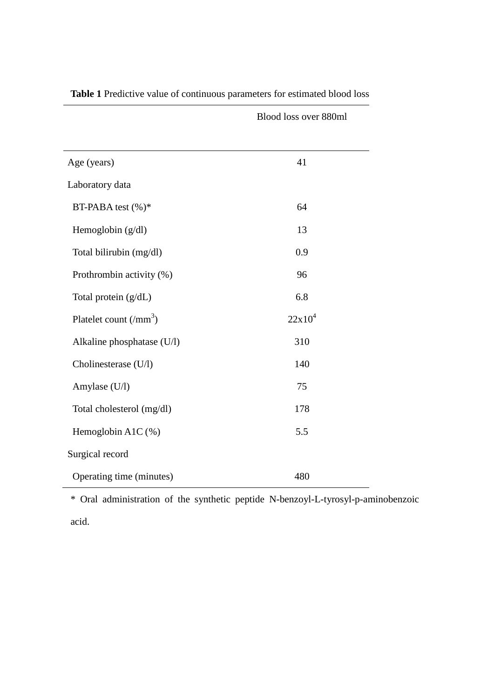| Age (years)                               | 41        |
|-------------------------------------------|-----------|
| Laboratory data                           |           |
| BT-PABA test (%)*                         | 64        |
| Hemoglobin (g/dl)                         | 13        |
| Total bilirubin (mg/dl)                   | 0.9       |
| Prothrombin activity (%)                  | 96        |
| Total protein (g/dL)                      | 6.8       |
|                                           |           |
| Platelet count $\left(\text{mm}^3\right)$ | $22x10^4$ |
| Alkaline phosphatase (U/l)                | 310       |
| Cholinesterase (U/l)                      | 140       |
| Amylase (U/l)                             | 75        |
| Total cholesterol (mg/dl)                 | 178       |
| Hemoglobin A1C $(\%)$                     | 5.5       |
| Surgical record                           |           |

**Table 1** Predictive value of continuous parameters for estimated blood loss

Blood loss over 880ml

\* Oral administration of the synthetic peptide N-benzoyl-L-tyrosyl-p-aminobenzoic acid.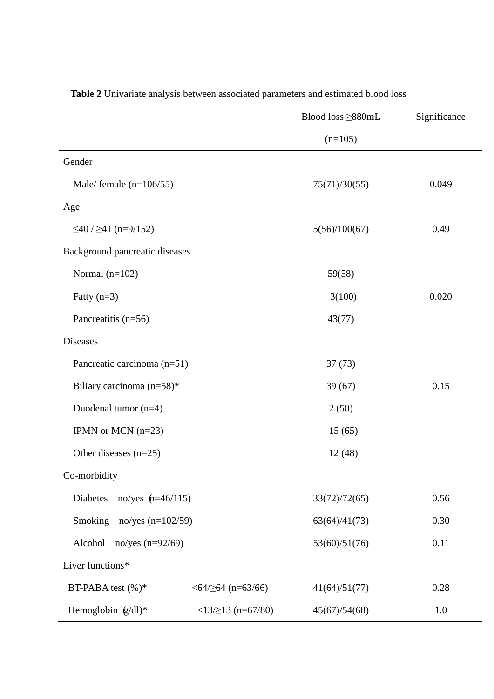|                                          | Blood loss $\geq$ 880mL                | Significance |
|------------------------------------------|----------------------------------------|--------------|
|                                          | $(n=105)$                              |              |
| Gender                                   |                                        |              |
| Male/ female $(n=106/55)$                | 75(71)/30(55)                          | 0.049        |
| Age                                      |                                        |              |
| $\leq$ 40 / $\geq$ 41 (n=9/152)          | 5(56)/100(67)                          | 0.49         |
| Background pancreatic diseases           |                                        |              |
| Normal $(n=102)$                         | 59(58)                                 |              |
| Fatty $(n=3)$                            | 3(100)                                 | 0.020        |
| Pancreatitis (n=56)                      | 43(77)                                 |              |
| <b>Diseases</b>                          |                                        |              |
| Pancreatic carcinoma (n=51)              | 37(73)                                 |              |
| Biliary carcinoma (n=58)*                | 39(67)                                 | 0.15         |
| Duodenal tumor (n=4)                     | 2(50)                                  |              |
| IPMN or MCN $(n=23)$                     | 15(65)                                 |              |
| Other diseases $(n=25)$                  | 12(48)                                 |              |
| Co-morbidity                             |                                        |              |
| Diabetes no/yes $(n=46/115)$             | 33(72)/72(65)                          | 0.56         |
| Smoking<br>no/yes $(n=102/59)$           | 63(64)/41(73)                          | 0.30         |
| Alcohol<br>no/yes $(n=92/69)$            | 53(60)/51(76)                          | 0.11         |
| Liver functions*                         |                                        |              |
| BT-PABA test (%)*<br>$<64/≥64$ (n=63/66) | 41(64)/51(77)                          | 0.28         |
| Hemoglobin (g/dl)*                       | $<13/\\213$ (n=67/80)<br>45(67)/54(68) | 1.0          |

**Table 2** Univariate analysis between associated parameters and estimated blood loss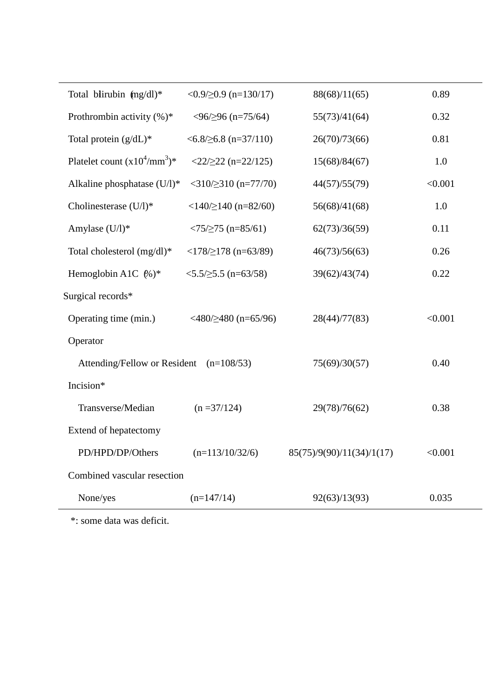| Total blirubin (mg/dl)*                   | $<0.9/\geq 0.9$ (n=130/17)                        | 88(68)/11(65)             | 0.89    |  |
|-------------------------------------------|---------------------------------------------------|---------------------------|---------|--|
| Prothrombin activity $(\%)^*$             | $<$ 96/ $\geq$ 96 (n=75/64)                       | 55(73)/41(64)             | 0.32    |  |
| Total protein $(g/dL)^*$                  | $\leq 6.8/\geq 6.8$ (n=37/110)                    | 26(70)/73(66)             | 0.81    |  |
| Platelet count $(x10^4/\text{mm}^3)^*$    | $\langle 22/222 (n=22/125)$                       | 15(68)/84(67)             | 1.0     |  |
| Alkaline phosphatase (U/l)*               | $<$ 310/ $\geq$ 310 (n=77/70)                     | 44(57)/55(79)             | < 0.001 |  |
| Cholinesterase (U/l)*                     | $\langle 140/2140 \rangle (n=82/60)$              | 56(68)/41(68)             | 1.0     |  |
| Amylase (U/l)*                            | $\langle 75/ \ge 75$ (n=85/61)                    | 62(73)/36(59)             | 0.11    |  |
| Total cholesterol (mg/dl)*                |                                                   | 46(73)/56(63)             | 0.26    |  |
| Hemoglobin A1C $%$ )*                     | $\langle 5.5/ \geq 5.5 \text{ (n=63/58)} \rangle$ | 39(62)/43(74)             | 0.22    |  |
| Surgical records*                         |                                                   |                           |         |  |
| Operating time (min.)                     | $\langle 480/2480 \rangle (n=65/96)$              | 28(44)/77(83)             | < 0.001 |  |
| Operator                                  |                                                   |                           |         |  |
| Attending/Fellow or Resident $(n=108/53)$ |                                                   | 75(69)/30(57)             | 0.40    |  |
| Incision*                                 |                                                   |                           |         |  |
| Transverse/Median                         | $(n = 37/124)$                                    | 29(78)/76(62)             | 0.38    |  |
| Extend of hepatectomy                     |                                                   |                           |         |  |
| PD/HPD/DP/Others                          | $(n=113/10/32/6)$                                 | 85(75)/9(90)/11(34)/1(17) | < 0.001 |  |
| Combined vascular resection               |                                                   |                           |         |  |
| None/yes                                  | $(n=147/14)$                                      | 92(63)/13(93)             | 0.035   |  |
|                                           |                                                   |                           |         |  |

\*: some data was deficit.